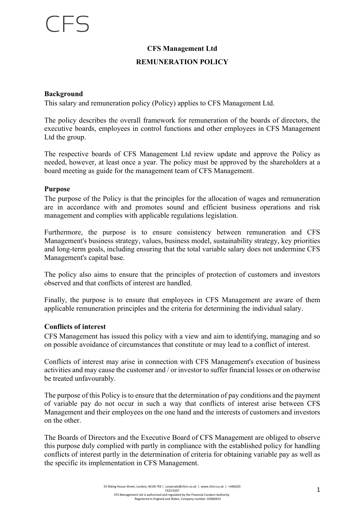## **CFS Management Ltd**

### **REMUNERATION POLICY**

### **Background**

This salary and remuneration policy (Policy) applies to CFS Management Ltd.

The policy describes the overall framework for remuneration of the boards of directors, the executive boards, employees in control functions and other employees in CFS Management Ltd the group.

The respective boards of CFS Management Ltd review update and approve the Policy as needed, however, at least once a year. The policy must be approved by the shareholders at a board meeting as guide for the management team of CFS Management.

#### **Purpose**

The purpose of the Policy is that the principles for the allocation of wages and remuneration are in accordance with and promotes sound and efficient business operations and risk management and complies with applicable regulations legislation.

Furthermore, the purpose is to ensure consistency between remuneration and CFS Management's business strategy, values, business model, sustainability strategy, key priorities and long-term goals, including ensuring that the total variable salary does not undermine CFS Management's capital base.

The policy also aims to ensure that the principles of protection of customers and investors observed and that conflicts of interest are handled.

Finally, the purpose is to ensure that employees in CFS Management are aware of them applicable remuneration principles and the criteria for determining the individual salary.

#### **Conflicts of interest**

CFS Management has issued this policy with a view and aim to identifying, managing and so on possible avoidance of circumstances that constitute or may lead to a conflict of interest.

Conflicts of interest may arise in connection with CFS Management's execution of business activities and may cause the customer and / or investor to suffer financial losses or on otherwise be treated unfavourably.

The purpose of this Policy is to ensure that the determination of pay conditions and the payment of variable pay do not occur in such a way that conflicts of interest arise between CFS Management and their employees on the one hand and the interests of customers and investors on the other.

The Boards of Directors and the Executive Board of CFS Management are obliged to observe this purpose duly complied with partly in compliance with the established policy for handling conflicts of interest partly in the determination of criteria for obtaining variable pay as well as the specific its implementation in CFS Management.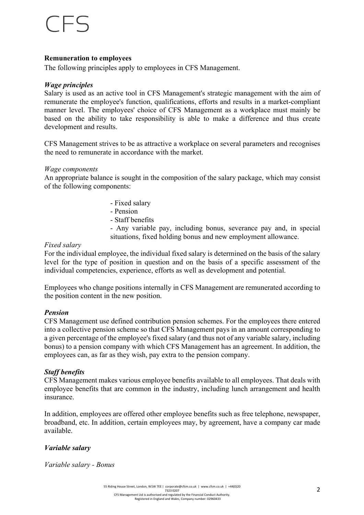## $F \subseteq \subseteq$

### **Remuneration to employees**

The following principles apply to employees in CFS Management.

### *Wage principles*

Salary is used as an active tool in CFS Management's strategic management with the aim of remunerate the employee's function, qualifications, efforts and results in a market-compliant manner level. The employees' choice of CFS Management as a workplace must mainly be based on the ability to take responsibility is able to make a difference and thus create development and results.

CFS Management strives to be as attractive a workplace on several parameters and recognises the need to remunerate in accordance with the market.

### *Wage components*

An appropriate balance is sought in the composition of the salary package, which may consist of the following components:

- Fixed salary
- Pension
- Staff benefits

- Any variable pay, including bonus, severance pay and, in special situations, fixed holding bonus and new employment allowance.

### *Fixed salary*

For the individual employee, the individual fixed salary is determined on the basis of the salary level for the type of position in question and on the basis of a specific assessment of the individual competencies, experience, efforts as well as development and potential.

Employees who change positions internally in CFS Management are remunerated according to the position content in the new position.

## *Pension*

CFS Management use defined contribution pension schemes. For the employees there entered into a collective pension scheme so that CFS Management pays in an amount corresponding to a given percentage of the employee's fixed salary (and thus not of any variable salary, including bonus) to a pension company with which CFS Management has an agreement. In addition, the employees can, as far as they wish, pay extra to the pension company.

## *Staff benefits*

CFS Management makes various employee benefits available to all employees. That deals with employee benefits that are common in the industry, including lunch arrangement and health insurance.

In addition, employees are offered other employee benefits such as free telephone, newspaper, broadband, etc. In addition, certain employees may, by agreement, have a company car made available.

## *Variable salary*

*Variable salary - Bonus*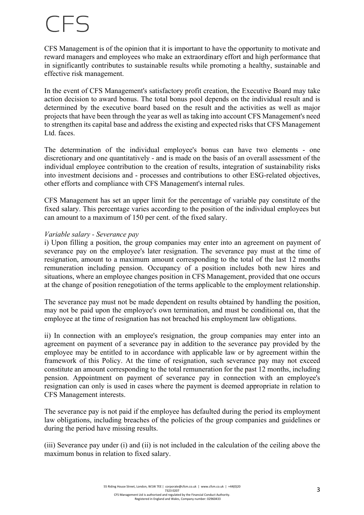## $CFS$

CFS Management is of the opinion that it is important to have the opportunity to motivate and reward managers and employees who make an extraordinary effort and high performance that in significantly contributes to sustainable results while promoting a healthy, sustainable and effective risk management.

In the event of CFS Management's satisfactory profit creation, the Executive Board may take action decision to award bonus. The total bonus pool depends on the individual result and is determined by the executive board based on the result and the activities as well as major projects that have been through the year as well as taking into account CFS Management's need to strengthen its capital base and address the existing and expected risks that CFS Management Ltd. faces.

The determination of the individual employee's bonus can have two elements - one discretionary and one quantitatively - and is made on the basis of an overall assessment of the individual employee contribution to the creation of results, integration of sustainability risks into investment decisions and - processes and contributions to other ESG-related objectives, other efforts and compliance with CFS Management's internal rules.

CFS Management has set an upper limit for the percentage of variable pay constitute of the fixed salary. This percentage varies according to the position of the individual employees but can amount to a maximum of 150 per cent. of the fixed salary.

### *Variable salary - Severance pay*

i) Upon filling a position, the group companies may enter into an agreement on payment of severance pay on the employee's later resignation. The severance pay must at the time of resignation, amount to a maximum amount corresponding to the total of the last 12 months remuneration including pension. Occupancy of a position includes both new hires and situations, where an employee changes position in CFS Management, provided that one occurs at the change of position renegotiation of the terms applicable to the employment relationship.

The severance pay must not be made dependent on results obtained by handling the position, may not be paid upon the employee's own termination, and must be conditional on, that the employee at the time of resignation has not breached his employment law obligations.

ii) In connection with an employee's resignation, the group companies may enter into an agreement on payment of a severance pay in addition to the severance pay provided by the employee may be entitled to in accordance with applicable law or by agreement within the framework of this Policy. At the time of resignation, such severance pay may not exceed constitute an amount corresponding to the total remuneration for the past 12 months, including pension. Appointment on payment of severance pay in connection with an employee's resignation can only is used in cases where the payment is deemed appropriate in relation to CFS Management interests.

The severance pay is not paid if the employee has defaulted during the period its employment law obligations, including breaches of the policies of the group companies and guidelines or during the period have missing results.

(iii) Severance pay under (i) and (ii) is not included in the calculation of the ceiling above the maximum bonus in relation to fixed salary.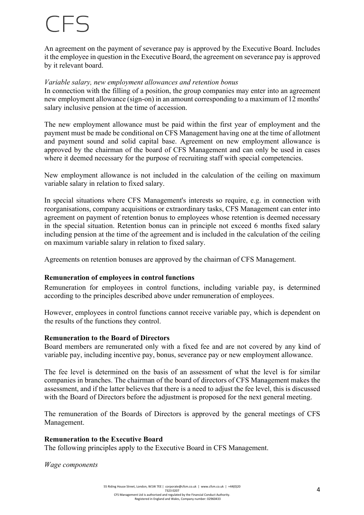## $($   $\vdash$

An agreement on the payment of severance pay is approved by the Executive Board. Includes it the employee in question in the Executive Board, the agreement on severance pay is approved by it relevant board.

### *Variable salary, new employment allowances and retention bonus*

In connection with the filling of a position, the group companies may enter into an agreement new employment allowance (sign-on) in an amount corresponding to a maximum of 12 months' salary inclusive pension at the time of accession.

The new employment allowance must be paid within the first year of employment and the payment must be made be conditional on CFS Management having one at the time of allotment and payment sound and solid capital base. Agreement on new employment allowance is approved by the chairman of the board of CFS Management and can only be used in cases where it deemed necessary for the purpose of recruiting staff with special competencies.

New employment allowance is not included in the calculation of the ceiling on maximum variable salary in relation to fixed salary.

In special situations where CFS Management's interests so require, e.g. in connection with reorganisations, company acquisitions or extraordinary tasks, CFS Management can enter into agreement on payment of retention bonus to employees whose retention is deemed necessary in the special situation. Retention bonus can in principle not exceed 6 months fixed salary including pension at the time of the agreement and is included in the calculation of the ceiling on maximum variable salary in relation to fixed salary.

Agreements on retention bonuses are approved by the chairman of CFS Management.

### **Remuneration of employees in control functions**

Remuneration for employees in control functions, including variable pay, is determined according to the principles described above under remuneration of employees.

However, employees in control functions cannot receive variable pay, which is dependent on the results of the functions they control.

#### **Remuneration to the Board of Directors**

Board members are remunerated only with a fixed fee and are not covered by any kind of variable pay, including incentive pay, bonus, severance pay or new employment allowance.

The fee level is determined on the basis of an assessment of what the level is for similar companies in branches. The chairman of the board of directors of CFS Management makes the assessment, and if the latter believes that there is a need to adjust the fee level, this is discussed with the Board of Directors before the adjustment is proposed for the next general meeting.

The remuneration of the Boards of Directors is approved by the general meetings of CFS Management.

### **Remuneration to the Executive Board**

The following principles apply to the Executive Board in CFS Management.

*Wage components*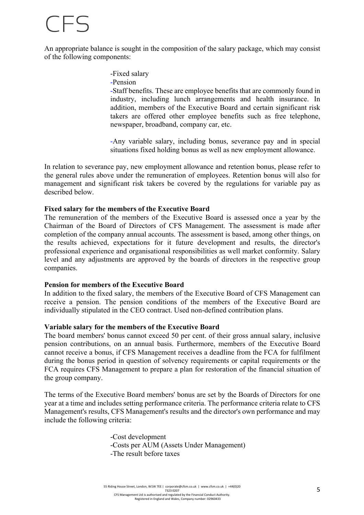## TFS

An appropriate balance is sought in the composition of the salary package, which may consist of the following components:

-Fixed salary

-Pension

-Staff benefits. These are employee benefits that are commonly found in industry, including lunch arrangements and health insurance. In addition, members of the Executive Board and certain significant risk takers are offered other employee benefits such as free telephone, newspaper, broadband, company car, etc.

-Any variable salary, including bonus, severance pay and in special situations fixed holding bonus as well as new employment allowance.

In relation to severance pay, new employment allowance and retention bonus, please refer to the general rules above under the remuneration of employees. Retention bonus will also for management and significant risk takers be covered by the regulations for variable pay as described below.

### **Fixed salary for the members of the Executive Board**

The remuneration of the members of the Executive Board is assessed once a year by the Chairman of the Board of Directors of CFS Management. The assessment is made after completion of the company annual accounts. The assessment is based, among other things, on the results achieved, expectations for it future development and results, the director's professional experience and organisational responsibilities as well market conformity. Salary level and any adjustments are approved by the boards of directors in the respective group companies.

### **Pension for members of the Executive Board**

In addition to the fixed salary, the members of the Executive Board of CFS Management can receive a pension. The pension conditions of the members of the Executive Board are individually stipulated in the CEO contract. Used non-defined contribution plans.

### **Variable salary for the members of the Executive Board**

The board members' bonus cannot exceed 50 per cent. of their gross annual salary, inclusive pension contributions, on an annual basis. Furthermore, members of the Executive Board cannot receive a bonus, if CFS Management receives a deadline from the FCA for fulfilment during the bonus period in question of solvency requirements or capital requirements or the FCA requires CFS Management to prepare a plan for restoration of the financial situation of the group company.

The terms of the Executive Board members' bonus are set by the Boards of Directors for one year at a time and includes setting performance criteria. The performance criteria relate to CFS Management's results, CFS Management's results and the director's own performance and may include the following criteria:

> -Cost development -Costs per AUM (Assets Under Management) -The result before taxes